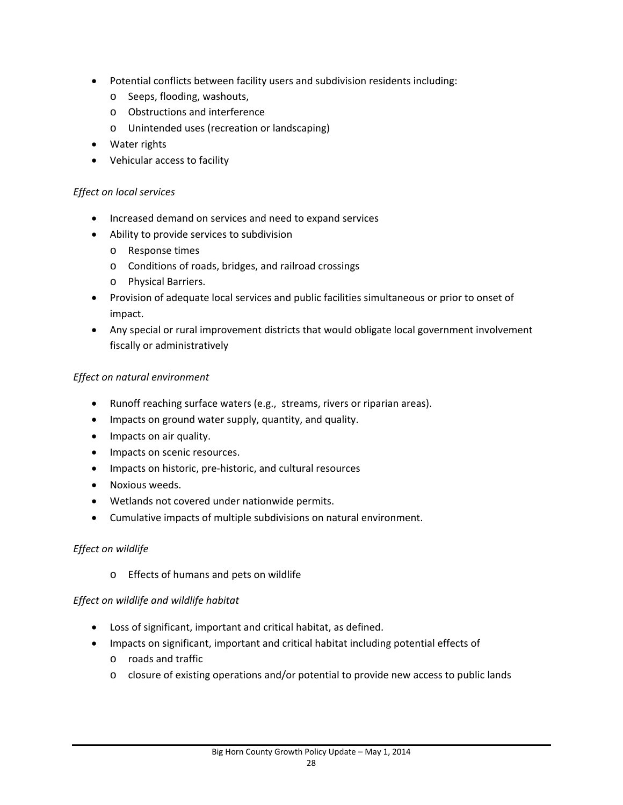- Potential conflicts between facility users and subdivision residents including:
	- o Seeps, flooding, washouts,
	- o Obstructions and interference
	- o Unintended uses (recreation or landscaping)
- Water rights
- Vehicular access to facility

## *Effect on local services*

- Increased demand on services and need to expand services
- Ability to provide services to subdivision
	- o Response times
	- o Conditions of roads, bridges, and railroad crossings
	- o Physical Barriers.
- Provision of adequate local services and public facilities simultaneous or prior to onset of impact.
- Any special or rural improvement districts that would obligate local government involvement fiscally or administratively

## *Effect on natural environment*

- Runoff reaching surface waters (e.g., streams, rivers or riparian areas).
- Impacts on ground water supply, quantity, and quality.
- Impacts on air quality.
- **Impacts on scenic resources.**
- Impacts on historic, pre-historic, and cultural resources
- Noxious weeds.
- Wetlands not covered under nationwide permits.
- Cumulative impacts of multiple subdivisions on natural environment.

## *Effect on wildlife*

o Effects of humans and pets on wildlife

## *Effect on wildlife and wildlife habitat*

- Loss of significant, important and critical habitat, as defined.
- Impacts on significant, important and critical habitat including potential effects of
	- o roads and traffic
	- o closure of existing operations and/or potential to provide new access to public lands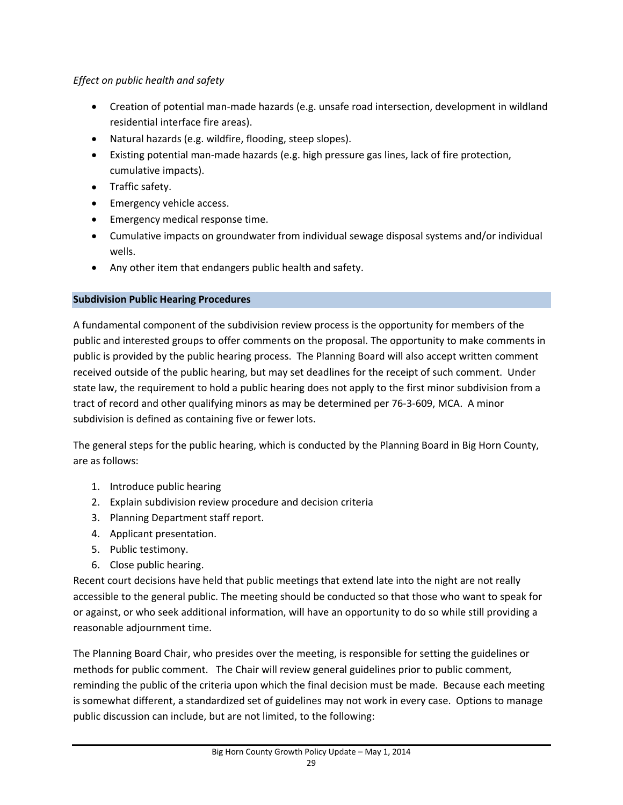## *Effect on public health and safety*

- Creation of potential man-made hazards (e.g. unsafe road intersection, development in wildland residential interface fire areas).
- Natural hazards (e.g. wildfire, flooding, steep slopes).
- Existing potential man-made hazards (e.g. high pressure gas lines, lack of fire protection, cumulative impacts).
- Traffic safety.
- Emergency vehicle access.
- Emergency medical response time.
- Cumulative impacts on groundwater from individual sewage disposal systems and/or individual wells.
- Any other item that endangers public health and safety.

## **Subdivision Public Hearing Procedures**

A fundamental component of the subdivision review process is the opportunity for members of the public and interested groups to offer comments on the proposal. The opportunity to make comments in public is provided by the public hearing process. The Planning Board will also accept written comment received outside of the public hearing, but may set deadlines for the receipt of such comment. Under state law, the requirement to hold a public hearing does not apply to the first minor subdivision from a tract of record and other qualifying minors as may be determined per 76‐3‐609, MCA. A minor subdivision is defined as containing five or fewer lots.

The general steps for the public hearing, which is conducted by the Planning Board in Big Horn County, are as follows:

- 1. Introduce public hearing
- 2. Explain subdivision review procedure and decision criteria
- 3. Planning Department staff report.
- 4. Applicant presentation.
- 5. Public testimony.
- 6. Close public hearing.

Recent court decisions have held that public meetings that extend late into the night are not really accessible to the general public. The meeting should be conducted so that those who want to speak for or against, or who seek additional information, will have an opportunity to do so while still providing a reasonable adjournment time.

The Planning Board Chair, who presides over the meeting, is responsible for setting the guidelines or methods for public comment. The Chair will review general guidelines prior to public comment, reminding the public of the criteria upon which the final decision must be made. Because each meeting is somewhat different, a standardized set of guidelines may not work in every case. Options to manage public discussion can include, but are not limited, to the following: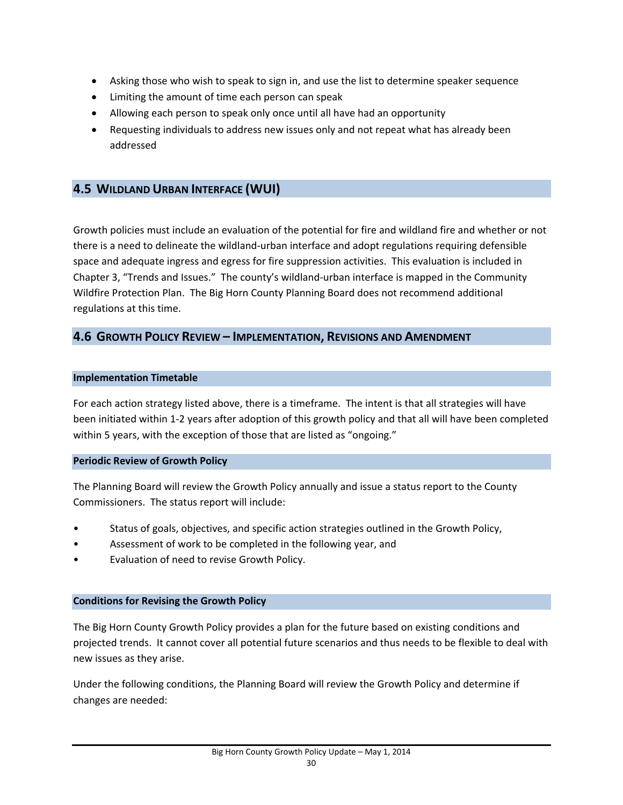- Asking those who wish to speak to sign in, and use the list to determine speaker sequence
- Limiting the amount of time each person can speak
- Allowing each person to speak only once until all have had an opportunity
- Requesting individuals to address new issues only and not repeat what has already been addressed

## **4.5 WILDLAND URBAN INTERFACE (WUI)**

Growth policies must include an evaluation of the potential for fire and wildland fire and whether or not there is a need to delineate the wildland‐urban interface and adopt regulations requiring defensible space and adequate ingress and egress for fire suppression activities. This evaluation is included in Chapter 3, "Trends and Issues." The county's wildland‐urban interface is mapped in the Community Wildfire Protection Plan. The Big Horn County Planning Board does not recommend additional regulations at this time.

## **4.6 GROWTH POLICY REVIEW – IMPLEMENTATION, REVISIONS AND AMENDMENT**

#### **Implementation Timetable**

For each action strategy listed above, there is a timeframe. The intent is that all strategies will have been initiated within 1‐2 years after adoption of this growth policy and that all will have been completed within 5 years, with the exception of those that are listed as "ongoing."

#### **Periodic Review of Growth Policy**

The Planning Board will review the Growth Policy annually and issue a status report to the County Commissioners. The status report will include:

- Status of goals, objectives, and specific action strategies outlined in the Growth Policy,
- Assessment of work to be completed in the following year, and
- Evaluation of need to revise Growth Policy.

#### **Conditions for Revising the Growth Policy**

The Big Horn County Growth Policy provides a plan for the future based on existing conditions and projected trends. It cannot cover all potential future scenarios and thus needs to be flexible to deal with new issues as they arise.

Under the following conditions, the Planning Board will review the Growth Policy and determine if changes are needed: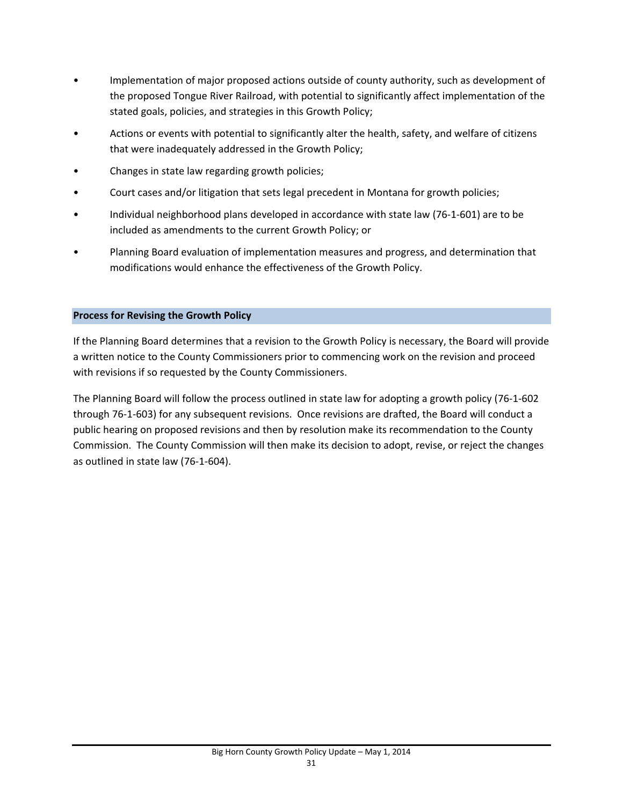- Implementation of major proposed actions outside of county authority, such as development of the proposed Tongue River Railroad, with potential to significantly affect implementation of the stated goals, policies, and strategies in this Growth Policy;
- Actions or events with potential to significantly alter the health, safety, and welfare of citizens that were inadequately addressed in the Growth Policy;
- Changes in state law regarding growth policies;
- Court cases and/or litigation that sets legal precedent in Montana for growth policies;
- Individual neighborhood plans developed in accordance with state law (76‐1‐601) are to be included as amendments to the current Growth Policy; or
- Planning Board evaluation of implementation measures and progress, and determination that modifications would enhance the effectiveness of the Growth Policy.

## **Process for Revising the Growth Policy**

If the Planning Board determines that a revision to the Growth Policy is necessary, the Board will provide a written notice to the County Commissioners prior to commencing work on the revision and proceed with revisions if so requested by the County Commissioners.

The Planning Board will follow the process outlined in state law for adopting a growth policy (76‐1‐602 through 76‐1‐603) for any subsequent revisions. Once revisions are drafted, the Board will conduct a public hearing on proposed revisions and then by resolution make its recommendation to the County Commission. The County Commission will then make its decision to adopt, revise, or reject the changes as outlined in state law (76‐1‐604).